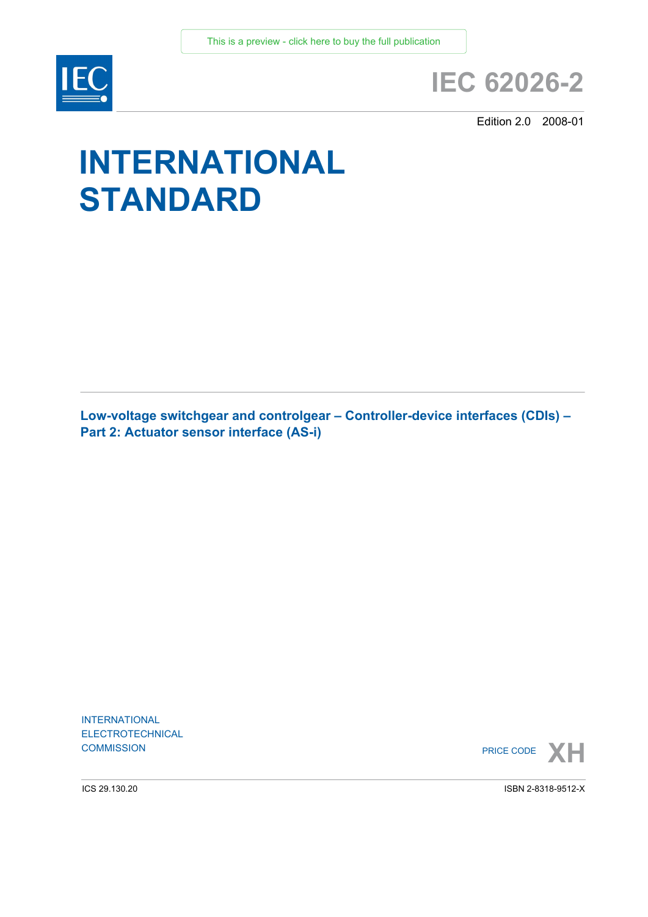

## **IEC 62026-2**

Edition 2.0 2008-01

# **INTERNATIONAL STANDARD**

**Low-voltage switchgear and controlgear – Controller-device interfaces (CDIs) – Part 2: Actuator sensor interface (AS-i)** 

INTERNATIONAL ELECTROTECHNICAL



ICS 29.130.20

ISBN 2-8318-9512-X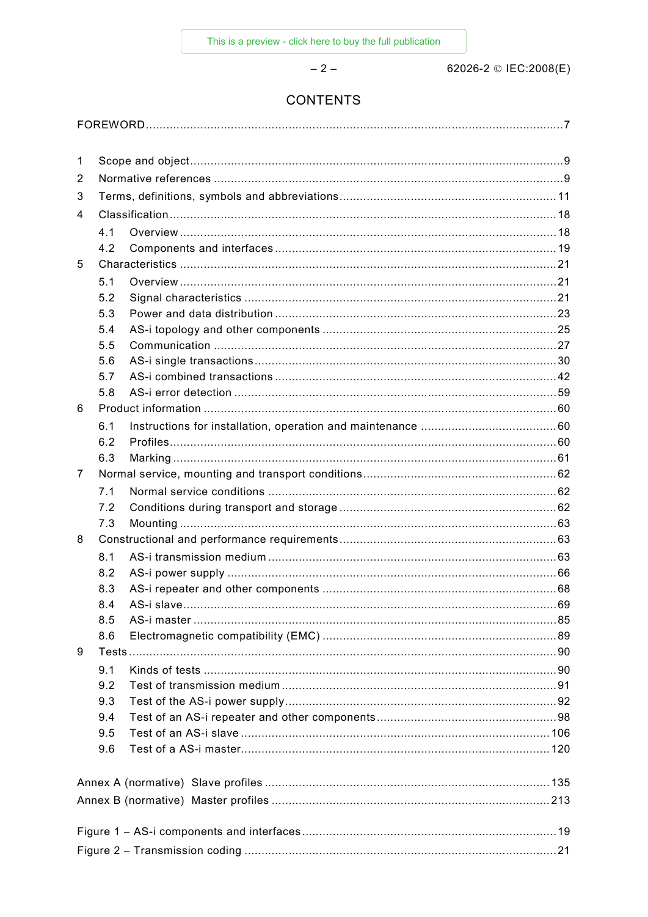$-2-$ 

62026-2 © IEC:2008(E)

### **CONTENTS**

|--|

| 1 |     |  |  |  |  |
|---|-----|--|--|--|--|
| 2 |     |  |  |  |  |
| 3 |     |  |  |  |  |
| 4 |     |  |  |  |  |
|   | 4.1 |  |  |  |  |
|   | 4.2 |  |  |  |  |
| 5 |     |  |  |  |  |
|   | 5.1 |  |  |  |  |
|   | 5.2 |  |  |  |  |
|   | 5.3 |  |  |  |  |
|   | 5.4 |  |  |  |  |
|   | 5.5 |  |  |  |  |
|   | 5.6 |  |  |  |  |
|   | 5.7 |  |  |  |  |
|   | 5.8 |  |  |  |  |
| 6 |     |  |  |  |  |
|   | 6.1 |  |  |  |  |
|   | 6.2 |  |  |  |  |
|   | 6.3 |  |  |  |  |
| 7 |     |  |  |  |  |
|   | 7.1 |  |  |  |  |
|   | 7.2 |  |  |  |  |
|   | 7.3 |  |  |  |  |
| 8 |     |  |  |  |  |
|   | 8.1 |  |  |  |  |
|   | 8.2 |  |  |  |  |
|   | 8.3 |  |  |  |  |
|   | 8.4 |  |  |  |  |
|   | 8.5 |  |  |  |  |
|   | 8.6 |  |  |  |  |
| 9 |     |  |  |  |  |
|   | 9.1 |  |  |  |  |
|   | 9.2 |  |  |  |  |
|   | 9.3 |  |  |  |  |
|   | 9.4 |  |  |  |  |
|   | 9.5 |  |  |  |  |
|   | 9.6 |  |  |  |  |
|   |     |  |  |  |  |
|   |     |  |  |  |  |
|   |     |  |  |  |  |
|   |     |  |  |  |  |
|   |     |  |  |  |  |
|   |     |  |  |  |  |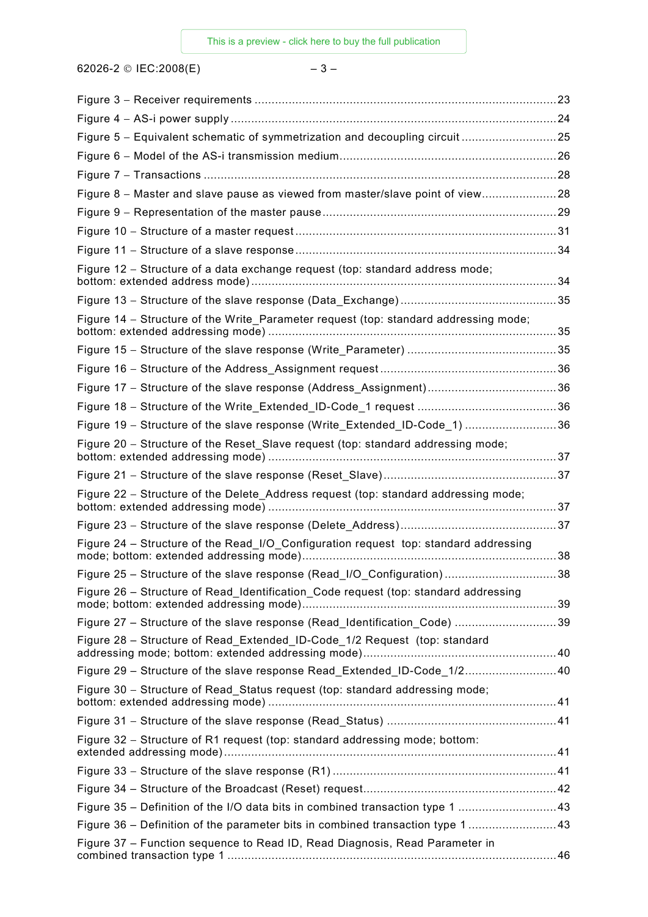62026-2 © IEC:2008(E)  $-3-$ 

| Figure 5 - Equivalent schematic of symmetrization and decoupling circuit 25          |    |
|--------------------------------------------------------------------------------------|----|
|                                                                                      |    |
|                                                                                      |    |
| Figure 8 - Master and slave pause as viewed from master/slave point of view28        |    |
|                                                                                      |    |
|                                                                                      |    |
|                                                                                      |    |
| Figure 12 - Structure of a data exchange request (top: standard address mode;        |    |
|                                                                                      |    |
| Figure 14 – Structure of the Write Parameter request (top: standard addressing mode; |    |
|                                                                                      |    |
|                                                                                      |    |
|                                                                                      |    |
|                                                                                      |    |
| Figure 19 - Structure of the slave response (Write_Extended_ID-Code_1) 36            |    |
| Figure 20 - Structure of the Reset_Slave request (top: standard addressing mode;     |    |
|                                                                                      |    |
| Figure 22 - Structure of the Delete_Address request (top: standard addressing mode;  |    |
|                                                                                      |    |
| Figure 24 - Structure of the Read_I/O_Configuration request top: standard addressing |    |
|                                                                                      | 38 |
| Figure 26 - Structure of Read_Identification_Code request (top: standard addressing  |    |
| Figure 27 - Structure of the slave response (Read_Identification_Code) 39            |    |
| Figure 28 - Structure of Read_Extended_ID-Code_1/2 Request (top: standard            |    |
| Figure 29 - Structure of the slave response Read_Extended_ID-Code_1/240              |    |
| Figure 30 - Structure of Read Status request (top: standard addressing mode;         |    |
|                                                                                      |    |
| Figure 32 – Structure of R1 request (top: standard addressing mode; bottom:          |    |
|                                                                                      |    |
|                                                                                      |    |
| Figure 35 - Definition of the I/O data bits in combined transaction type 1 43        |    |
| Figure 36 - Definition of the parameter bits in combined transaction type 1 43       |    |
| Figure 37 - Function sequence to Read ID, Read Diagnosis, Read Parameter in          |    |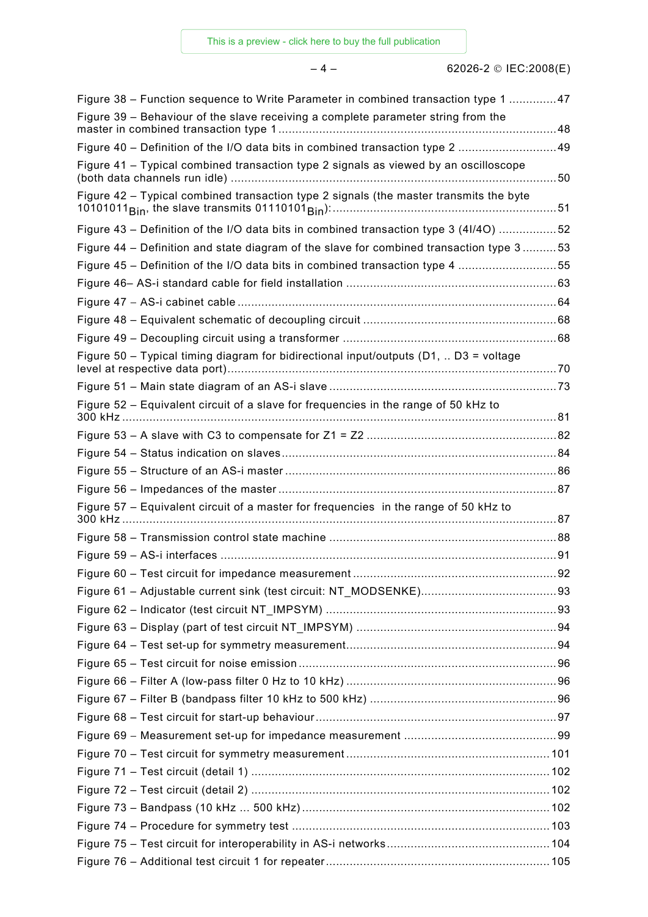| Figure 38 – Function sequence to Write Parameter in combined transaction type 1 47         |  |
|--------------------------------------------------------------------------------------------|--|
| Figure 39 – Behaviour of the slave receiving a complete parameter string from the          |  |
| Figure 40 - Definition of the I/O data bits in combined transaction type 2 49              |  |
| Figure 41 - Typical combined transaction type 2 signals as viewed by an oscilloscope       |  |
| Figure 42 - Typical combined transaction type 2 signals (the master transmits the byte     |  |
| Figure 43 – Definition of the I/O data bits in combined transaction type 3 (4I/4O) 52      |  |
| Figure 44 – Definition and state diagram of the slave for combined transaction type 353    |  |
| Figure 45 – Definition of the I/O data bits in combined transaction type 4 55              |  |
|                                                                                            |  |
|                                                                                            |  |
|                                                                                            |  |
|                                                                                            |  |
| Figure 50 – Typical timing diagram for bidirectional input/outputs ( $D1$ , $D3$ = voltage |  |
|                                                                                            |  |
| Figure 52 - Equivalent circuit of a slave for frequencies in the range of 50 kHz to        |  |
|                                                                                            |  |
|                                                                                            |  |
|                                                                                            |  |
|                                                                                            |  |
| Figure 57 - Equivalent circuit of a master for frequencies in the range of 50 kHz to       |  |
|                                                                                            |  |
|                                                                                            |  |
|                                                                                            |  |
|                                                                                            |  |
|                                                                                            |  |
|                                                                                            |  |
|                                                                                            |  |
|                                                                                            |  |
|                                                                                            |  |
|                                                                                            |  |
|                                                                                            |  |
|                                                                                            |  |
|                                                                                            |  |
|                                                                                            |  |
|                                                                                            |  |
|                                                                                            |  |
|                                                                                            |  |
|                                                                                            |  |
|                                                                                            |  |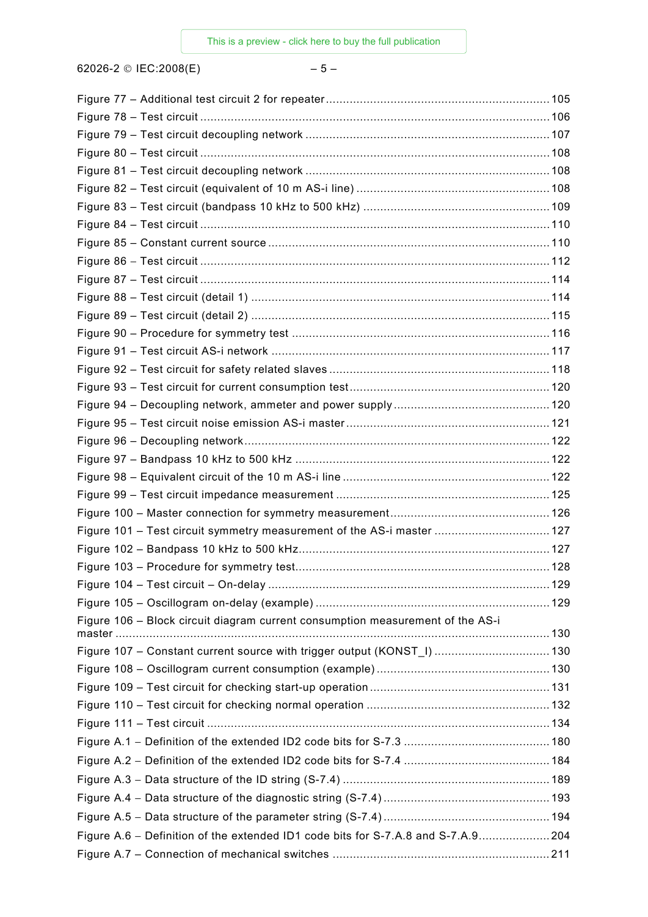62026-2 © IEC:2008(E)  $-5-$ 

| Figure 101 - Test circuit symmetry measurement of the AS-i master  127           |  |
|----------------------------------------------------------------------------------|--|
|                                                                                  |  |
|                                                                                  |  |
|                                                                                  |  |
|                                                                                  |  |
| Figure 106 - Block circuit diagram current consumption measurement of the AS-i   |  |
|                                                                                  |  |
| Figure 107 - Constant current source with trigger output (KONST_I)  130          |  |
|                                                                                  |  |
|                                                                                  |  |
|                                                                                  |  |
|                                                                                  |  |
|                                                                                  |  |
|                                                                                  |  |
|                                                                                  |  |
|                                                                                  |  |
|                                                                                  |  |
| Figure A.6 – Definition of the extended ID1 code bits for S-7.A.8 and S-7.A.9204 |  |
|                                                                                  |  |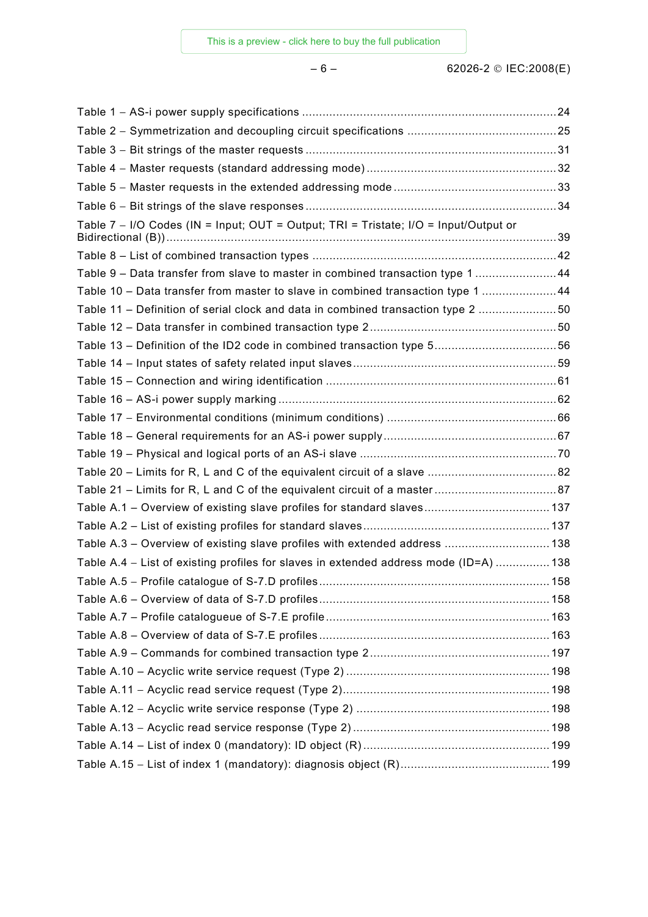| Table 7 - I/O Codes (IN = Input; OUT = Output; TRI = Tristate; I/O = Input/Output or  |  |
|---------------------------------------------------------------------------------------|--|
|                                                                                       |  |
| Table 9 - Data transfer from slave to master in combined transaction type 1 44        |  |
| Table 10 - Data transfer from master to slave in combined transaction type 1 44       |  |
| Table 11 – Definition of serial clock and data in combined transaction type 2 50      |  |
|                                                                                       |  |
| Table 13 - Definition of the ID2 code in combined transaction type 556                |  |
|                                                                                       |  |
|                                                                                       |  |
|                                                                                       |  |
|                                                                                       |  |
|                                                                                       |  |
|                                                                                       |  |
|                                                                                       |  |
|                                                                                       |  |
|                                                                                       |  |
|                                                                                       |  |
| Table A.3 - Overview of existing slave profiles with extended address  138            |  |
| Table A.4 - List of existing profiles for slaves in extended address mode (ID=A)  138 |  |
|                                                                                       |  |
|                                                                                       |  |
|                                                                                       |  |
|                                                                                       |  |
|                                                                                       |  |
|                                                                                       |  |
|                                                                                       |  |
|                                                                                       |  |
|                                                                                       |  |
|                                                                                       |  |
|                                                                                       |  |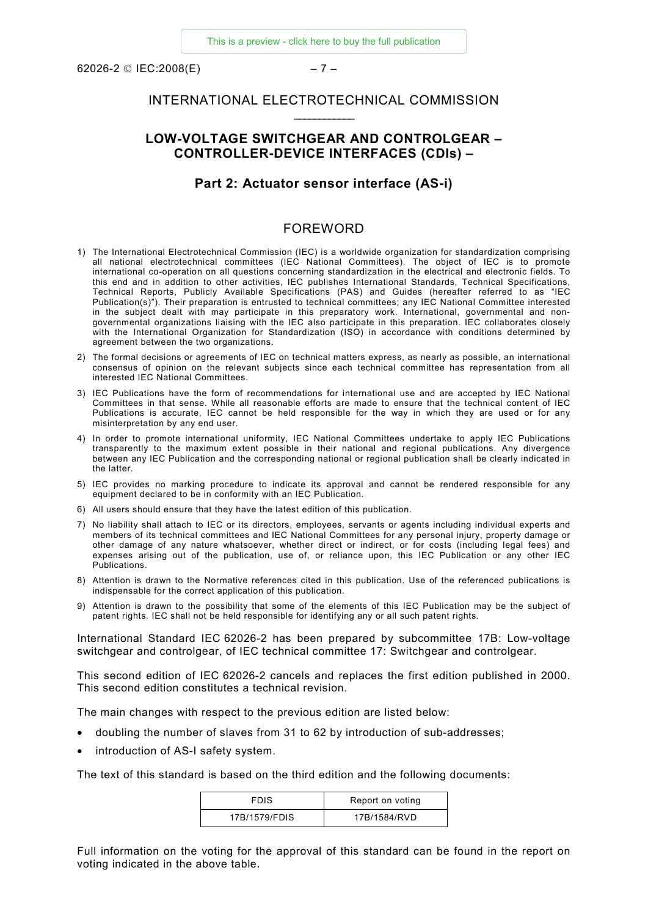<span id="page-6-0"></span>62026-2 © IEC:2008(E) – 7 –

#### INTERNATIONAL ELECTROTECHNICAL COMMISSION  $\mathcal{L}=\mathcal{L}^{\text{max}}$

### **LOW-VOLTAGE SWITCHGEAR AND CONTROLGEAR – CONTROLLER-DEVICE INTERFACES (CDIs) –**

#### **Part 2: Actuator sensor interface (AS-i)**

#### FOREWORD

- 1) The International Electrotechnical Commission (IEC) is a worldwide organization for standardization comprising all national electrotechnical committees (IEC National Committees). The object of IEC is to promote international co-operation on all questions concerning standardization in the electrical and electronic fields. To this end and in addition to other activities, IEC publishes International Standards, Technical Specifications, Technical Reports, Publicly Available Specifications (PAS) and Guides (hereafter referred to as "IEC Publication(s)"). Their preparation is entrusted to technical committees; any IEC National Committee interested in the subject dealt with may participate in this preparatory work. International, governmental and nongovernmental organizations liaising with the IEC also participate in this preparation. IEC collaborates closely with the International Organization for Standardization (ISO) in accordance with conditions determined by agreement between the two organizations.
- 2) The formal decisions or agreements of IEC on technical matters express, as nearly as possible, an international consensus of opinion on the relevant subjects since each technical committee has representation from all interested IEC National Committees.
- 3) IEC Publications have the form of recommendations for international use and are accepted by IEC National Committees in that sense. While all reasonable efforts are made to ensure that the technical content of IEC Publications is accurate, IEC cannot be held responsible for the way in which they are used or for any misinterpretation by any end user.
- 4) In order to promote international uniformity, IEC National Committees undertake to apply IEC Publications transparently to the maximum extent possible in their national and regional publications. Any divergence between any IEC Publication and the corresponding national or regional publication shall be clearly indicated in the latter.
- 5) IEC provides no marking procedure to indicate its approval and cannot be rendered responsible for any equipment declared to be in conformity with an IEC Publication.
- 6) All users should ensure that they have the latest edition of this publication.
- 7) No liability shall attach to IEC or its directors, employees, servants or agents including individual experts and members of its technical committees and IEC National Committees for any personal injury, property damage or other damage of any nature whatsoever, whether direct or indirect, or for costs (including legal fees) and expenses arising out of the publication, use of, or reliance upon, this IEC Publication or any other IEC Publications.
- 8) Attention is drawn to the Normative references cited in this publication. Use of the referenced publications is indispensable for the correct application of this publication.
- 9) Attention is drawn to the possibility that some of the elements of this IEC Publication may be the subject of patent rights. IEC shall not be held responsible for identifying any or all such patent rights.

International Standard IEC 62026-2 has been prepared by subcommittee 17B: Low-voltage switchgear and controlgear, of IEC technical committee 17: Switchgear and controlgear.

This second edition of IEC 62026-2 cancels and replaces the first edition published in 2000. This second edition constitutes a technical revision.

The main changes with respect to the previous edition are listed below:

- doubling the number of slaves from 31 to 62 by introduction of sub-addresses;
- introduction of AS-I safety system.

The text of this standard is based on the third edition and the following documents:

| <b>FDIS</b>   | Report on voting |
|---------------|------------------|
| 17B/1579/FDIS | 17B/1584/RVD     |

Full information on the voting for the approval of this standard can be found in the report on voting indicated in the above table.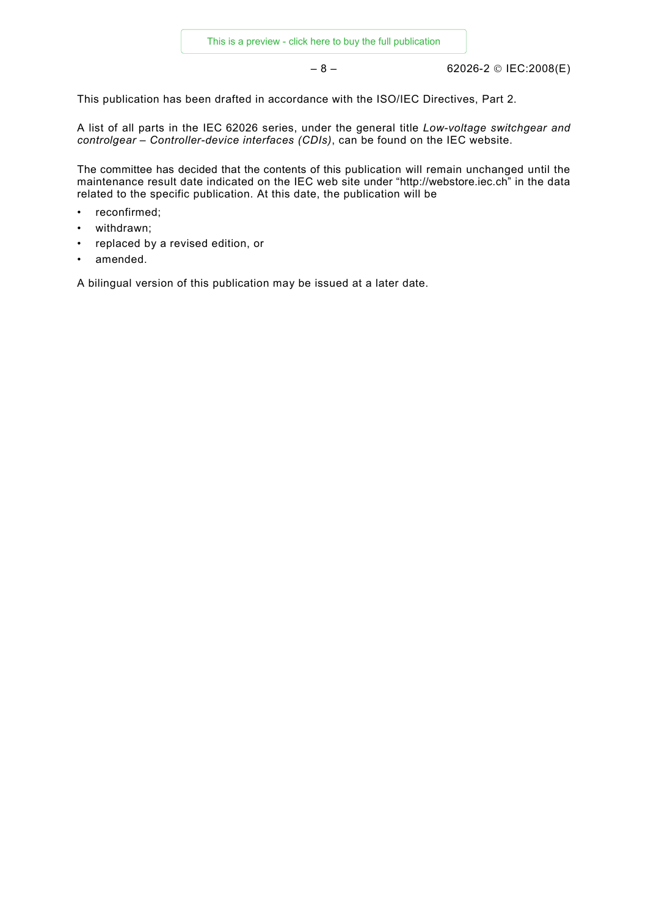– 8 – 62026-2 © IEC:2008(E)

This publication has been drafted in accordance with the ISO/IEC Directives, Part 2.

A list of all parts in the IEC 62026 series, under the general title *Low-voltage switchgear and controlgear – Controller-device interfaces (CDIs)*, can be found on the IEC website.

The committee has decided that the contents of this publication will remain unchanged until the maintenance result date indicated on the IEC web site under "[http://webstore.iec.ch"](http://webstore.iec.ch/) in the data related to the specific publication. At this date, the publication will be

- reconfirmed;
- withdrawn;
- replaced by a revised edition, or
- amended.

A bilingual version of this publication may be issued at a later date.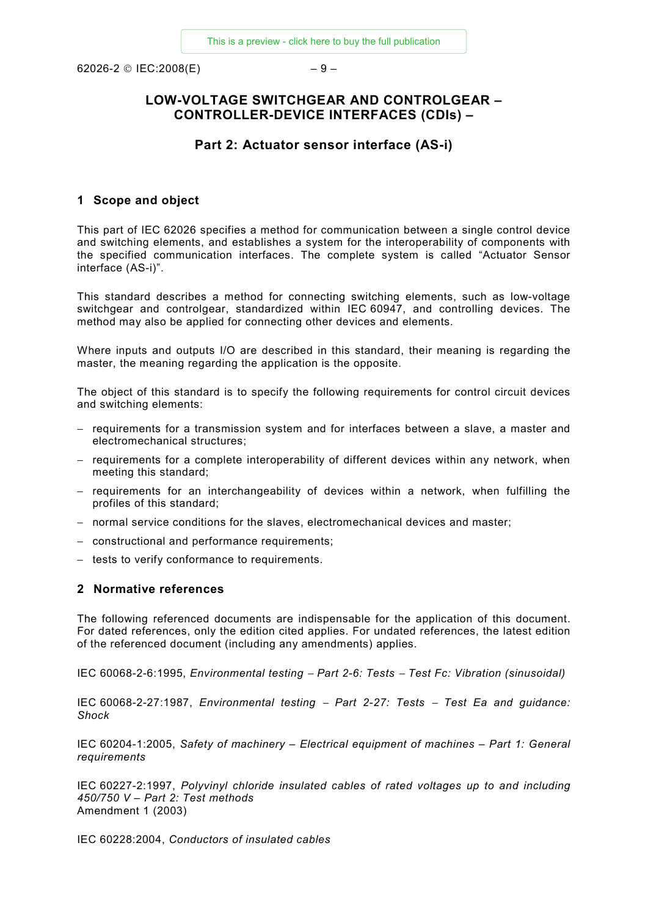<span id="page-8-0"></span> $62026 - 2 \circ \text{IEC:} 2008 \text{(E)}$  – 9 –

### **LOW-VOLTAGE SWITCHGEAR AND CONTROLGEAR – CONTROLLER-DEVICE INTERFACES (CDIs) –**

#### **Part 2: Actuator sensor interface (AS-i)**

#### **1 Scope and object**

This part of IEC 62026 specifies a method for communication between a single control device and switching elements, and establishes a system for the interoperability of components with the specified communication interfaces. The complete system is called "Actuator Sensor interface (AS-i)".

This standard describes a method for connecting switching elements, such as low-voltage switchgear and controlgear, standardized within IEC 60947, and controlling devices. The method may also be applied for connecting other devices and elements.

Where inputs and outputs I/O are described in this standard, their meaning is regarding the master, the meaning regarding the application is the opposite.

The object of this standard is to specify the following requirements for control circuit devices and switching elements:

- − requirements for a transmission system and for interfaces between a slave, a master and electromechanical structures;
- − requirements for a complete interoperability of different devices within any network, when meeting this standard;
- − requirements for an interchangeability of devices within a network, when fulfilling the profiles of this standard;
- − normal service conditions for the slaves, electromechanical devices and master;
- − constructional and performance requirements;
- − tests to verify conformance to requirements.

#### **2 Normative references**

The following referenced documents are indispensable for the application of this document. For dated references, only the edition cited applies. For undated references, the latest edition of the referenced document (including any amendments) applies.

IEC 60068-2-6:1995, *Environmental testing* − *Part 2-6: Tests* − *Test Fc: Vibration (sinusoidal)*

IEC 60068-2-27:1987, *Environmental testing* − *Part 2-27: Tests* − *Test Ea and guidance: Shock* 

IEC 60204-1:2005, *Safety of machinery – Electrical equipment of machines – Part 1: General requirements*

IEC 60227-2:1997, *Polyvinyl chloride insulated cables of rated voltages up to and including 450/750 V – Part 2: Test methods* Amendment 1 (2003)

IEC 60228:2004, *Conductors of insulated cables*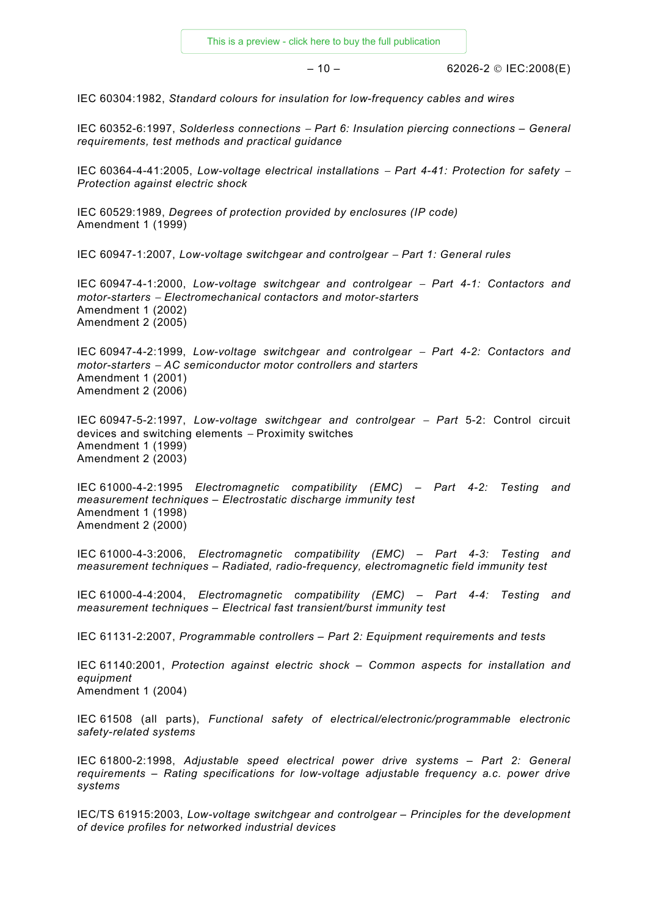$-10 - 62026 - 2 \circ \text{IEC:} 2008 \text{(E)}$ 

IEC 60304:1982, *Standard colours for insulation for low-frequency cables and wires*

IEC 60352-6:1997, *Solderless connections* − *Part 6: Insulation piercing connections – General requirements, test methods and practical guidance*

IEC 60364-4-41:2005, *Low-voltage electrical installations* − *Part 4-41: Protection for safety* <sup>−</sup> *Protection against electric shock*

IEC 60529:1989, *Degrees of protection provided by enclosures (IP code)*  Amendment 1 (1999)

IEC 60947-1:2007, *Low-voltage switchgear and controlgear* − *Part 1: General rules*

IEC 60947-4-1:2000, *Low-voltage switchgear and controlgear* − *Part 4-1: Contactors and motor-starters* − *Electromechanical contactors and motor-starters*  Amendment 1 (2002) Amendment 2 (2005)

IEC 60947-4-2:1999, *Low-voltage switchgear and controlgear* − *Part 4-2: Contactors and motor-starters* − *AC semiconductor motor controllers and starters*  Amendment 1 (2001) Amendment 2 (2006)

IEC 60947-5-2:1997, *Low-voltage switchgear and controlgear* − *Part* 5-2: Control circuit devices and switching elements <sup>−</sup> Proximity switches Amendment 1 (1999) Amendment 2 (2003)

IEC 61000-4-2:1995 *Electromagnetic compatibility (EMC) – Part 4-2: Testing and measurement techniques – Electrostatic discharge immunity test*  Amendment 1 (1998) Amendment 2 (2000)

IEC 61000-4-3:2006, *Electromagnetic compatibility (EMC) – Part 4-3: Testing and measurement techniques – Radiated, radio-frequency, electromagnetic field immunity test* 

IEC 61000-4-4:2004, *Electromagnetic compatibility (EMC) – Part 4-4: Testing and measurement techniques – Electrical fast transient/burst immunity test*

IEC 61131-2:2007, *Programmable controllers – Part 2: Equipment requirements and tests*

IEC 61140:2001, *Protection against electric shock – Common aspects for installation and equipment* Amendment 1 (2004)

IEC 61508 (all parts), *Functional safety of electrical/electronic/programmable electronic safety-related systems* 

IEC 61800-2:1998, *Adjustable speed electrical power drive systems – Part 2: General requirements – Rating specifications for low-voltage adjustable frequency a.c. power drive systems*

IEC/TS 61915:2003, *Low-voltage switchgear and controlgear – Principles for the development of device profiles for networked industrial devices*